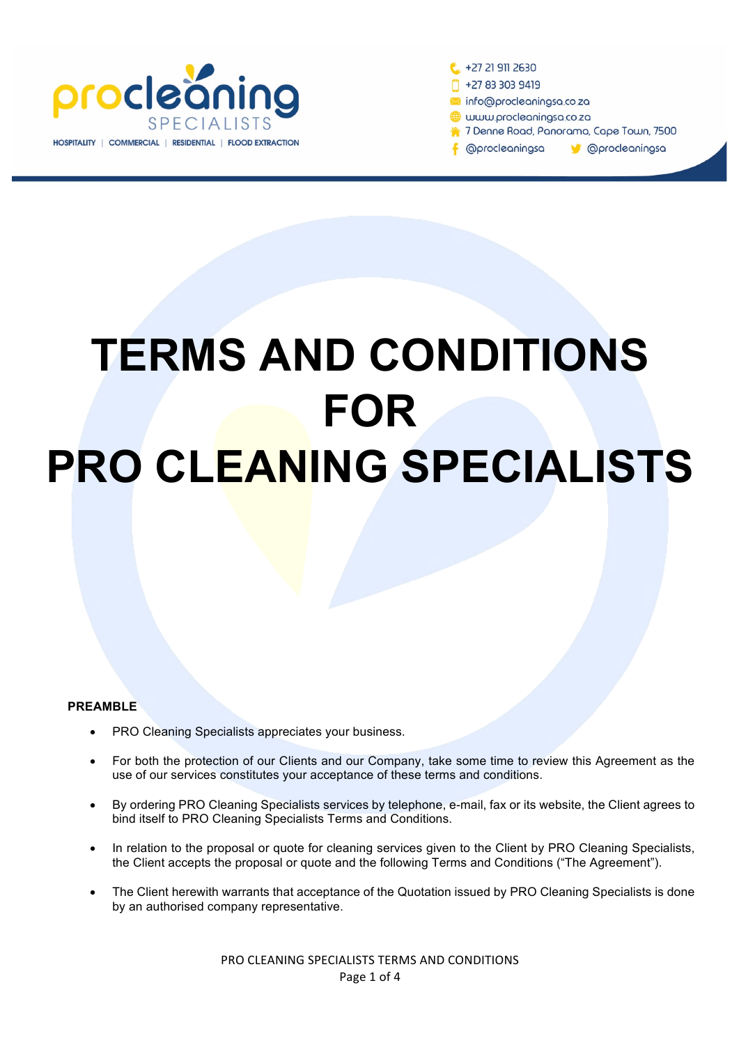

+27 21 911 2630 +27 83 303 9419 nfo@procleaningsa.co.za www.procleaningsa.co.za 7 Denne Road, Panorama, Cape Town, 7500 **@procleaningsa M** @procleaningsa

# **TERMS AND CONDITIONS FOR PRO CLEANING SPECIALISTS**

### **PREAMBLE**

- PRO Cleaning Specialists appreciates your business.
- For both the protection of our Clients and our Company, take some time to review this Agreement as the use of our services constitutes your acceptance of these terms and conditions.
- By ordering PRO Cleaning Specialists services by telephone, e-mail, fax or its website, the Client agrees to bind itself to PRO Cleaning Specialists Terms and Conditions.
- In relation to the proposal or quote for cleaning services given to the Client by PRO Cleaning Specialists, the Client accepts the proposal or quote and the following Terms and Conditions ("The Agreement").
- The Client herewith warrants that acceptance of the Quotation issued by PRO Cleaning Specialists is done by an authorised company representative.

PRO CLEANING SPECIALISTS TERMS AND CONDITIONS Page 1 of 4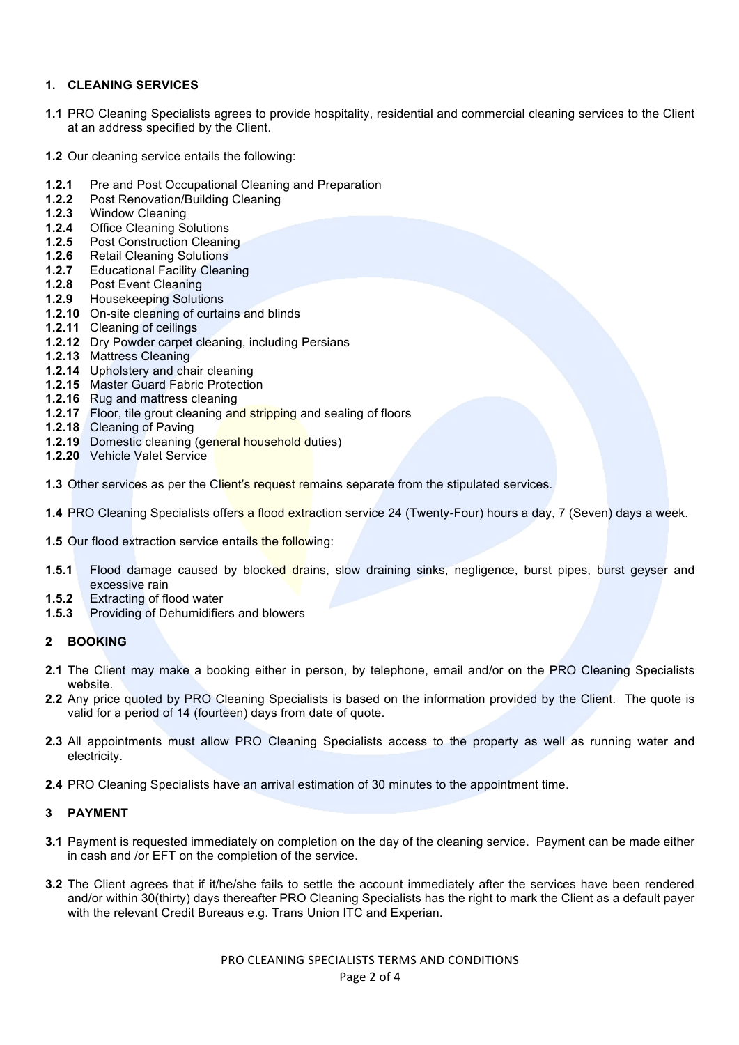#### **1. CLEANING SERVICES**

- **1.1** PRO Cleaning Specialists agrees to provide hospitality, residential and commercial cleaning services to the Client at an address specified by the Client.
- **1.2** Our cleaning service entails the following:
- **1.2.1** Pre and Post Occupational Cleaning and Preparation
- **1.2.2** Post Renovation/Building Cleaning
- **1.2.3** Window Cleaning
- 1.2.4 Office Cleaning Solutions<br>1.2.5 Post Construction Cleanin
- **Post Construction Cleaning**
- **1.2.6** Retail Cleaning Solutions
- **1.2.7** Educational Facility Cleaning
- **1.2.8** Post Event Cleaning
- **1.2.9** Housekeeping Solutions
- **1.2.10** On-site cleaning of curtains and blinds
- **1.2.11** Cleaning of ceilings
- **1.2.12** Dry Powder carpet cleaning, including Persians
- **1.2.13** Mattress Cleaning
- **1.2.14** Upholstery and chair cleaning
- **1.2.15** Master Guard Fabric Protection
- **1.2.16** Rug and mattress cleaning
- **1.2.17** Floor, tile grout cleaning and stripping and sealing of floors
- **1.2.18** Cleaning of Paving
- **1.2.19** Domestic cleaning (general household duties)
- **1.2.20** Vehicle Valet Service

**1.3** Other services as per the Client's request remains separate from the stipulated services.

- **1.4** PRO Cleaning Specialists offers a flood extraction service 24 (Twenty-Four) hours a day, 7 (Seven) days a week.
- **1.5** Our flood extraction service entails the following:
- **1.5.1** Flood damage caused by blocked drains, slow draining sinks, negligence, burst pipes, burst geyser and excessive rain
- **1.5.2** Extracting of flood water
- **1.5.3** Providing of Dehumidifiers and blowers

### **2 BOOKING**

- **2.1** The Client may make a booking either in person, by telephone, email and/or on the PRO Cleaning Specialists website.
- **2.2** Any price quoted by PRO Cleaning Specialists is based on the information provided by the Client. The quote is valid for a period of 14 (fourteen) days from date of quote.
- **2.3** All appointments must allow PRO Cleaning Specialists access to the property as well as running water and electricity.
- **2.4** PRO Cleaning Specialists have an arrival estimation of 30 minutes to the appointment time.

### **3 PAYMENT**

- **3.1** Payment is requested immediately on completion on the day of the cleaning service. Payment can be made either in cash and /or EFT on the completion of the service.
- **3.2** The Client agrees that if it/he/she fails to settle the account immediately after the services have been rendered and/or within 30(thirty) days thereafter PRO Cleaning Specialists has the right to mark the Client as a default payer with the relevant Credit Bureaus e.g. Trans Union ITC and Experian.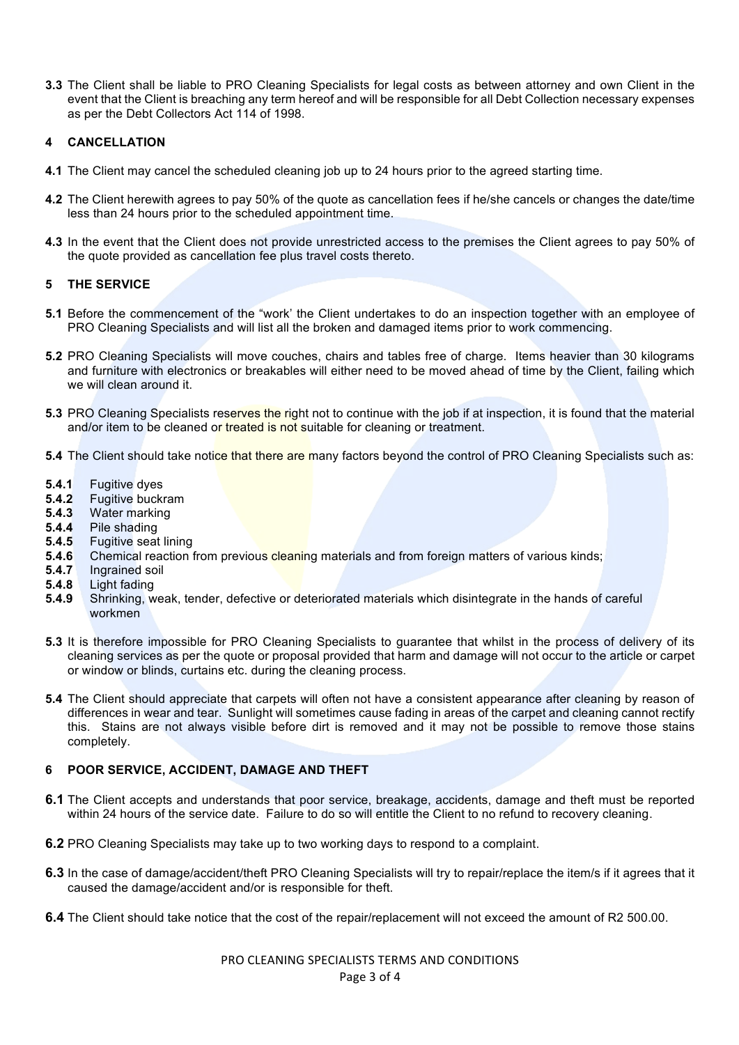**3.3** The Client shall be liable to PRO Cleaning Specialists for legal costs as between attorney and own Client in the event that the Client is breaching any term hereof and will be responsible for all Debt Collection necessary expenses as per the Debt Collectors Act 114 of 1998.

## **4 CANCELLATION**

- **4.1** The Client may cancel the scheduled cleaning job up to 24 hours prior to the agreed starting time.
- **4.2** The Client herewith agrees to pay 50% of the quote as cancellation fees if he/she cancels or changes the date/time less than 24 hours prior to the scheduled appointment time.
- **4.3** In the event that the Client does not provide unrestricted access to the premises the Client agrees to pay 50% of the quote provided as cancellation fee plus travel costs thereto.

### **5 THE SERVICE**

- **5.1** Before the commencement of the "work' the Client undertakes to do an inspection together with an employee of PRO Cleaning Specialists and will list all the broken and damaged items prior to work commencing.
- **5.2** PRO Cleaning Specialists will move couches, chairs and tables free of charge. Items heavier than 30 kilograms and furniture with electronics or breakables will either need to be moved ahead of time by the Client, failing which we will clean around it.
- **5.3** PRO Cleaning Specialists reserves the right not to continue with the job if at inspection, it is found that the material and/or item to be cleaned or treated is not suitable for cleaning or treatment.
- **5.4** The Client should take notice that there are many factors beyond the control of PRO Cleaning Specialists such as:
- **5.4.1** Fugitive dyes
- **5.4.2** Fugitive buckram
- **5.4.3** Water marking
- **5.4.4** Pile shading
- **5.4.5** Fugitive seat lining
- **5.4.6** Chemical reaction from previous cleaning materials and from foreign matters of various kinds;
- **5.4.7** Ingrained soil
- **5.4.8** Light fading
- **5.4.9** Shrinking, weak, tender, defective or deteriorated materials which disintegrate in the hands of careful workmen
- **5.3** It is therefore impossible for PRO Cleaning Specialists to guarantee that whilst in the process of delivery of its cleaning services as per the quote or proposal provided that harm and damage will not occur to the article or carpet or window or blinds, curtains etc. during the cleaning process.
- **5.4** The Client should appreciate that carpets will often not have a consistent appearance after cleaning by reason of differences in wear and tear. Sunlight will sometimes cause fading in areas of the carpet and cleaning cannot rectify this. Stains are not always visible before dirt is removed and it may not be possible to remove those stains completely.

### **6 POOR SERVICE, ACCIDENT, DAMAGE AND THEFT**

- **6.1** The Client accepts and understands that poor service, breakage, accidents, damage and theft must be reported within 24 hours of the service date. Failure to do so will entitle the Client to no refund to recovery cleaning.
- **6.2** PRO Cleaning Specialists may take up to two working days to respond to a complaint.
- **6.3** In the case of damage/accident/theft PRO Cleaning Specialists will try to repair/replace the item/s if it agrees that it caused the damage/accident and/or is responsible for theft.
- **6.4** The Client should take notice that the cost of the repair/replacement will not exceed the amount of R2 500.00.